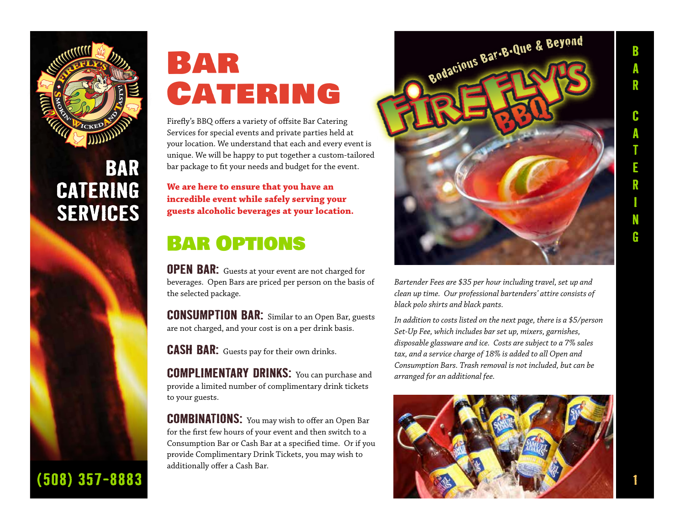

### **BAR CATERING SERVICES**



# Bar **CATERING**

Firefly's BBQ offers a variety of offsite Bar Catering Services for special events and private parties held at your location. We understand that each and every event is unique. We will be happy to put together a custom-tailored bar package to fit your needs and budget for the event.

**We are here to ensure that you have an incredible event while safely serving your guests alcoholic beverages at your location.** 

### Bar Options

**OPEN BAR:** Guests at your event are not charged for beverages. Open Bars are priced per person on the basis of the selected package.

**CONSUMPTION BAR:** Similar to an Open Bar, guests are not charged, and your cost is on a per drink basis.

**CASH BAR:** Guests pay for their own drinks.

**COMPLIMENTARY DRINKS:** You can purchase and provide a limited number of complimentary drink tickets to your guests.

**COMBINATIONS:** You may wish to offer an Open Bar for the first few hours of your event and then switch to a Consumption Bar or Cash Bar at a specified time. Or if you provide Complimentary Drink Tickets, you may wish to additionally offer a Cash Bar.



*Bartender Fees are \$35 per hour including travel, set up and clean up time. Our professional bartenders' attire consists of black polo shirts and black pants.* 

*In addition to costs listed on the next page, there is a \$5/person Set-Up Fee, which includes bar set up, mixers, garnishes, disposable glassware and ice. Costs are subject to a 7% sales tax, and a service charge of 18% is added to all Open and Consumption Bars. Trash removal is not included, but can be arranged for an additional fee.*